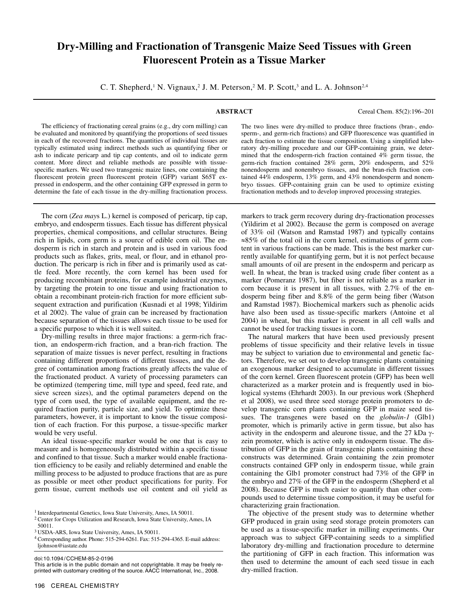# **Dry-Milling and Fractionation of Transgenic Maize Seed Tissues with Green Fluorescent Protein as a Tissue Marker**

C. T. Shepherd,<sup>1</sup> N. Vignaux,<sup>2</sup> J. M. Peterson,<sup>2</sup> M. P. Scott,<sup>3</sup> and L. A. Johnson<sup>2,4</sup>

**ABSTRACT** Cereal Chem. 85(2):196–201

The efficiency of fractionating cereal grains (e.g., dry corn milling) can be evaluated and monitored by quantifying the proportions of seed tissues in each of the recovered fractions. The quantities of individual tissues are typically estimated using indirect methods such as quantifying fiber or ash to indicate pericarp and tip cap contents, and oil to indicate germ content. More direct and reliable methods are possible with tissuespecific markers. We used two transgenic maize lines, one containing the fluorescent protein green fluorescent protein (GFP) variant S65T expressed in endosperm, and the other containing GFP expressed in germ to determine the fate of each tissue in the dry-milling fractionation process.

The corn (*Zea may*s L.) kernel is composed of pericarp, tip cap, embryo, and endosperm tissues. Each tissue has different physical properties, chemical compositions, and cellular structures. Being rich in lipids, corn germ is a source of edible corn oil. The endosperm is rich in starch and protein and is used in various food products such as flakes, grits, meal, or flour, and in ethanol production. The pericarp is rich in fiber and is primarily used as cattle feed. More recently, the corn kernel has been used for producing recombinant proteins, for example industrial enzymes, by targeting the protein to one tissue and using fractionation to obtain a recombinant protein-rich fraction for more efficient subsequent extraction and purification (Kusnadi et al 1998; Yildirim et al 2002). The value of grain can be increased by fractionation because separation of the tissues allows each tissue to be used for a specific purpose to which it is well suited.

Dry-milling results in three major fractions: a germ-rich fraction, an endosperm-rich fraction, and a bran-rich fraction. The separation of maize tissues is never perfect, resulting in fractions containing different proportions of different tissues, and the degree of contamination among fractions greatly affects the value of the fractionated product. A variety of processing parameters can be optimized (tempering time, mill type and speed, feed rate, and sieve screen sizes), and the optimal parameters depend on the type of corn used, the type of available equipment, and the required fraction purity, particle size, and yield. To optimize these parameters, however, it is important to know the tissue composition of each fraction. For this purpose, a tissue-specific marker would be very useful.

An ideal tissue-specific marker would be one that is easy to measure and is homogeneously distributed within a specific tissue and confined to that tissue. Such a marker would enable fractionation efficiency to be easily and reliably determined and enable the milling process to be adjusted to produce fractions that are as pure as possible or meet other product specifications for purity. For germ tissue, current methods use oil content and oil yield as

doi:10.1094/ CCHEM-85-2-0196

This article is in the public domain and not copyrightable. It may be freely reprinted with customary crediting of the source. AACC International, Inc., 2008.

sperm-, and germ-rich fractions) and GFP fluorescence was quantified in each fraction to estimate the tissue composition. Using a simplified laboratory dry-milling procedure and our GFP-containing grain, we determined that the endosperm-rich fraction contained 4% germ tissue, the germ-rich fraction contained 28% germ, 20% endosperm, and 52% nonendosperm and nonembryo tissues, and the bran-rich fraction contained 44% endosperm, 13% germ, and 43% nonendosperm and nonembryo tissues. GFP-containing grain can be used to optimize existing fractionation methods and to develop improved processing strategies.

The two lines were dry-milled to produce three fractions (bran-, endo-

markers to track germ recovery during dry-fractionation processes (Yildirim et al 2002). Because the germ is composed on average of 33% oil (Watson and Ramstad 1987) and typically contains ≈85% of the total oil in the corn kernel, estimations of germ content in various fractions can be made. This is the best marker currently available for quantifying germ, but it is not perfect because small amounts of oil are present in the endosperm and pericarp as well. In wheat, the bran is tracked using crude fiber content as a marker (Pomeranz 1987), but fiber is not reliable as a marker in corn because it is present in all tissues, with 2.7% of the endosperm being fiber and 8.8% of the germ being fiber (Watson and Ramstad 1987). Biochemical markers such as phenolic acids have also been used as tissue-specific markers (Antoine et al 2004) in wheat, but this marker is present in all cell walls and cannot be used for tracking tissues in corn.

The natural markers that have been used previously present problems of tissue specificity and their relative levels in tissue may be subject to variation due to environmental and genetic factors. Therefore, we set out to develop transgenic plants containing an exogenous marker designed to accumulate in different tissues of the corn kernel. Green fluorescent protein (GFP) has been well characterized as a marker protein and is frequently used in biological systems (Ehrhardt 2003). In our previous work (Shepherd et al 2008), we used three seed storage protein promoters to develop transgenic corn plants containing GFP in maize seed tissues. The transgenes were based on the *globulin-1* (Glb1) promoter, which is primarily active in germ tissue, but also has activity in the endosperm and aleurone tissue, and the 27 kDa γzein promoter, which is active only in endosperm tissue. The distribution of GFP in the grain of transgenic plants containing these constructs was determined. Grain containing the zein promoter constructs contained GFP only in endosperm tissue, while grain containing the Glb1 promoter construct had 73% of the GFP in the embryo and 27% of the GFP in the endosperm (Shepherd et al 2008). Because GFP is much easier to quantify than other compounds used to determine tissue composition, it may be useful for characterizing grain fractionation.

The objective of the present study was to determine whether GFP produced in grain using seed storage protein promoters can be used as a tissue-specific marker in milling experiments. Our approach was to subject GFP-containing seeds to a simplified laboratory dry-milling and fractionation procedure to determine the partitioning of GFP in each fraction. This information was then used to determine the amount of each seed tissue in each dry-milled fraction.

<sup>&</sup>lt;sup>1</sup> Interdepartmental Genetics, Iowa State University, Ames, IA 50011.

<sup>2</sup> Center for Crops Utilization and Research, Iowa State University, Ames, IA 50011.

<sup>3</sup> USDA-ARS, Iowa State University, Ames, IA 50011.

<sup>4</sup> Corresponding author. Phone: 515-294-6261. Fax: 515-294-4365. E-mail address: ljohnson@iastate.edu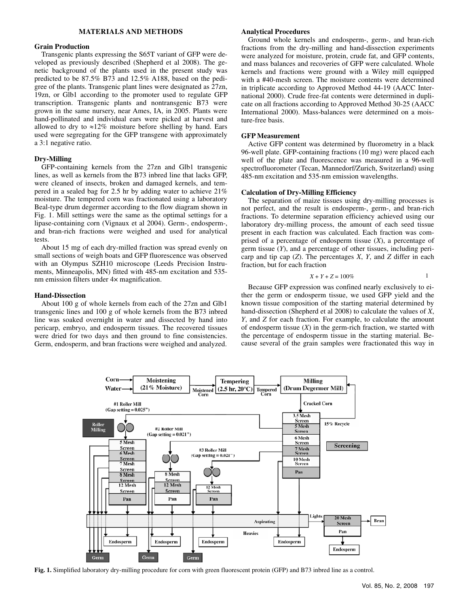# **MATERIALS AND METHODS**

# **Grain Production**

Transgenic plants expressing the S65T variant of GFP were developed as previously described (Shepherd et al 2008). The genetic background of the plants used in the present study was predicted to be 87.5% B73 and 12.5% A188, based on the pedigree of the plants. Transgenic plant lines were designated as 27zn, 19zn, or Glb1 according to the promoter used to regulate GFP transcription. Transgenic plants and nontransgenic B73 were grown in the same nursery, near Ames, IA, in 2005. Plants were hand-pollinated and individual ears were picked at harvest and allowed to dry to  $\approx 12\%$  moisture before shelling by hand. Ears used were segregating for the GFP transgene with approximately a 3:1 negative ratio.

# **Dry-Milling**

GFP-containing kernels from the 27zn and Glb1 transgenic lines, as well as kernels from the B73 inbred line that lacks GFP, were cleaned of insects, broken and damaged kernels, and tempered in a sealed bag for 2.5 hr by adding water to achieve 21% moisture. The tempered corn was fractionated using a laboratory Beal-type drum degermer according to the flow diagram shown in Fig. 1. Mill settings were the same as the optimal settings for a lipase-containing corn (Vignaux et al 2004). Germ-, endosperm-, and bran-rich fractions were weighed and used for analytical tests.

About 15 mg of each dry-milled fraction was spread evenly on small sections of weigh boats and GFP fluorescence was observed with an Olympus SZH10 microscope (Leeds Precision Instruments, Minneapolis, MN) fitted with 485-nm excitation and 535 nm emission filters under 4× magnification.

### **Hand-Dissection**

About 100 g of whole kernels from each of the 27zn and Glb1 transgenic lines and 100 g of whole kernels from the B73 inbred line was soaked overnight in water and dissected by hand into pericarp, embryo, and endosperm tissues. The recovered tissues were dried for two days and then ground to fine consistencies. Germ, endosperm, and bran fractions were weighed and analyzed.

## **Analytical Procedures**

Ground whole kernels and endosperm-, germ-, and bran-rich fractions from the dry-milling and hand-dissection experiments were analyzed for moisture, protein, crude fat, and GFP contents, and mass balances and recoveries of GFP were calculated. Whole kernels and fractions were ground with a Wiley mill equipped with a #40-mesh screen. The moisture contents were determined in triplicate according to Approved Method 44-19 (AACC International 2000). Crude free-fat contents were determined in duplicate on all fractions according to Approved Method 30-25 (AACC International 2000). Mass-balances were determined on a moisture-free basis.

# **GFP Measurement**

Active GFP content was determined by fluorometry in a black 96-well plate. GFP-containing fractions (10 mg) were placed each well of the plate and fluorescence was measured in a 96-well spectrofluorometer (Tecan, Mannedorf/Zurich, Switzerland) using 485-nm excitation and 535-nm emission wavelengths.

#### **Calculation of Dry-Milling Efficiency**

The separation of maize tissues using dry-milling processes is not perfect, and the result is endosperm-, germ-, and bran-rich fractions. To determine separation efficiency achieved using our laboratory dry-milling process, the amount of each seed tissue present in each fraction was calculated. Each fraction was comprised of a percentage of endosperm tissue (*X*), a percentage of germ tissue (*Y*), and a percentage of other tissues, including pericarp and tip cap (*Z*). The percentages *X*, *Y*, and *Z* differ in each fraction, but for each fraction

$$
X + Y + Z = 100\%
$$

Because GFP expression was confined nearly exclusively to either the germ or endosperm tissue, we used GFP yield and the known tissue composition of the starting material determined by hand-dissection (Shepherd et al 2008) to calculate the values of *X*, *Y*, and *Z* for each fraction. For example, to calculate the amount of endosperm tissue  $(X)$  in the germ-rich fraction, we started with the percentage of endosperm tissue in the starting material. Because several of the grain samples were fractionated this way in



**Fig. 1.** Simplified laboratory dry-milling procedure for corn with green fluorescent protein (GFP) and B73 inbred line as a control.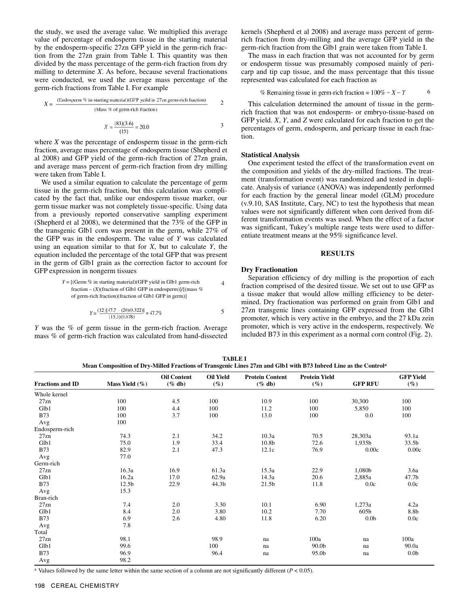the study, we used the average value. We multiplied this average value of percentage of endosperm tissue in the starting material by the endosperm-specific 27zn GFP yield in the germ-rich fraction from the 27zn grain from Table I. This quantity was then divided by the mass percentage of the germ-rich fraction from dry milling to determine *X*. As before, because several fractionations were conducted, we used the average mass percentage of the germ-rich fractions from Table I. For example

$$
X = \frac{\text{(Endosperm \% in starting material)}(\text{GFP yield in 27zn germ-rich fraction)}}{\text{(Mass % of germ-rich fraction)}}
$$
 2

$$
X = \frac{(83)(3.6)}{(15)} = 20.0
$$

where *X* was the percentage of endosperm tissue in the germ-rich fraction, average mass percentage of endosperm tissue (Shepherd et al 2008) and GFP yield of the germ-rich fraction of 27zn grain, and average mass percent of germ-rich fraction from dry milling were taken from Table I.

We used a similar equation to calculate the percentage of germ tissue in the germ-rich fraction, but this calculation was complicated by the fact that, unlike our endosperm tissue marker, our germ tissue marker was not completely tissue-specific. Using data from a previously reported conservative sampling experiment (Shepherd et al 2008), we determined that the 73% of the GFP in the transgenic Glb1 corn was present in the germ, while 27% of the GFP was in the endosperm. The value of *Y* was calculated using an equation similar to that for *X*, but to calculate *Y*, the equation included the percentage of the total GFP that was present in the germ of Glb1 grain as the correction factor to account for GFP expression in nongerm tissues

$$
Y = [(\text{Germ } \%
$$
 in starting material)(GFP yield in Glb1 germ-rich fraction – (*X*)(fraction of Glb1 GFP in endosperm)]/[(mass % of germ-rich fraction)(fraction of Glb1 GFP in germ)]

$$
Y = \frac{(12)[47.7 - (20)(0.322)]}{(15.3)(0.678)} = 47.7\%
$$

*Y* was the % of germ tissue in the germ-rich fraction. Average mass % of germ-rich fraction was calculated from hand-dissected kernels (Shepherd et al 2008) and average mass percent of germrich fraction from dry-milling and the average GFP yield in the germ-rich fraction from the Glb1 grain were taken from Table I.

The mass in each fraction that was not accounted for by germ or endosperm tissue was presumably composed mainly of pericarp and tip cap tissue, and the mass percentage that this tissue represented was calculated for each fraction as

$$
\% \text{ Remaining tissue in germ-rich fraction} = 100\% - X - Y \tag{6}
$$

This calculation determined the amount of tissue in the germrich fraction that was not endosperm- or embryo-tissue-based on GFP yield. *X*, *Y*, and *Z* were calculated for each fraction to get the percentages of germ, endosperm, and pericarp tissue in each fraction.

#### **Statistical Analysis**

One experiment tested the effect of the transformation event on the composition and yields of the dry-milled fractions. The treatment (transformation event) was randomized and tested in duplicate. Analysis of variance (ANOVA) was independently performed for each fraction by the general linear model (GLM) procedure (v.9.10, SAS Institute, Cary, NC) to test the hypothesis that mean values were not significantly different when corn derived from different transformation events was used. When the effect of a factor was significant, Tukey's multiple range tests were used to differentiate treatment means at the 95% significance level.

# **RESULTS**

## **Dry Fractionation**

Separation efficiency of dry milling is the proportion of each fraction comprised of the desired tissue. We set out to use GFP as a tissue maker that would allow milling efficiency to be determined. Dry fractionation was performed on grain from Glb1 and 27zn transgenic lines containing GFP expressed from the Glb1 promoter, which is very active in the embryo, and the 27 kDa zein promoter, which is very active in the endosperm, respectively. We included B73 in this experiment as a normal corn control (Fig. 2).

**TABLE I Mean Composition of Dry-Milled Fractions of Transgenic Lines 27zn and Glb1 with B73 Inbred Line as the Controla**

| <b>Fractions and ID</b> | Mass Yield $(\%)$ | <b>Oil Content</b><br>$(\%$ db) | <b>Oil Yield</b><br>$(\%)$ | <b>Protein Content</b><br>$(\%$ db) | <b>Protein Yield</b><br>$(\%)$ | <b>GFP RFU</b>   | <b>GFP Yield</b><br>$(\%)$ |
|-------------------------|-------------------|---------------------------------|----------------------------|-------------------------------------|--------------------------------|------------------|----------------------------|
| Whole kernel            |                   |                                 |                            |                                     |                                |                  |                            |
| 27zn                    | 100               | 4.5                             | 100                        | 10.9                                | 100                            | 30,300           | 100                        |
| Glb1                    | 100               | 4.4                             | 100                        | 11.2                                | 100                            | 5,850            | 100                        |
| <b>B73</b>              | 100               | 3.7                             | 100                        | 13.0                                | 100                            | 0.0              | 100                        |
| Avg                     | 100               |                                 |                            |                                     |                                |                  |                            |
| Endosperm-rich          |                   |                                 |                            |                                     |                                |                  |                            |
| 27zn                    | 74.3              | 2.1                             | 34.2                       | 10.3a                               | 70.5                           | 28,303a          | 93.1a                      |
| Glb1                    | 75.0              | 1.9                             | 33.4                       | 10.8b                               | 72.6                           | 1,935b           | 33.5b                      |
| <b>B73</b>              | 82.9              | 2.1                             | 47.3                       | 12.1c                               | 76.9                           | 0.00c            | 0.00c                      |
| Avg                     | 77.0              |                                 |                            |                                     |                                |                  |                            |
| Germ-rich               |                   |                                 |                            |                                     |                                |                  |                            |
| 27zn                    | 16.3a             | 16.9                            | 61.3a                      | 15.3a                               | 22.9                           | 1,080b           | 3.6a                       |
| Glb1                    | 16.2a             | 17.0                            | 62.9a                      | 14.3a                               | 20.6                           | 2,885a           | 47.7b                      |
| <b>B73</b>              | 12.5b             | 22.9                            | 44.3b                      | 21.5b                               | 11.8                           | 0.0c             | 0.0c                       |
| Avg                     | 15.3              |                                 |                            |                                     |                                |                  |                            |
| Bran-rich               |                   |                                 |                            |                                     |                                |                  |                            |
| 27zn                    | 7.4               | 2.0                             | 3.30                       | 10.1                                | 6.90                           | 1,273a           | 4.2a                       |
| Glb1                    | 8.4               | 2.0                             | 3.80                       | 10.2                                | 7.70                           | 605b             | 8.8b                       |
| <b>B73</b>              | 6.9               | 2.6                             | 4.80                       | 11.8                                | 6.20                           | 0.0 <sub>b</sub> | 0.0c                       |
| Avg                     | 7.8               |                                 |                            |                                     |                                |                  |                            |
| Total                   |                   |                                 |                            |                                     |                                |                  |                            |
| 27zn                    | 98.1              |                                 | 98.9                       | na                                  | 100a                           | na               | 100a                       |
| Glb1                    | 99.6              |                                 | 100                        | na                                  | 90.0 <sub>b</sub>              | na               | 90.0a                      |
| <b>B73</b>              | 96.9              |                                 | 96.4                       | na                                  | 95.0b                          | na               | 0.0 <sub>b</sub>           |
| Avg                     | 98.2              |                                 |                            |                                     |                                |                  |                            |

<sup>a</sup> Values followed by the same letter within the same section of a column are not significantly different  $(P < 0.05)$ .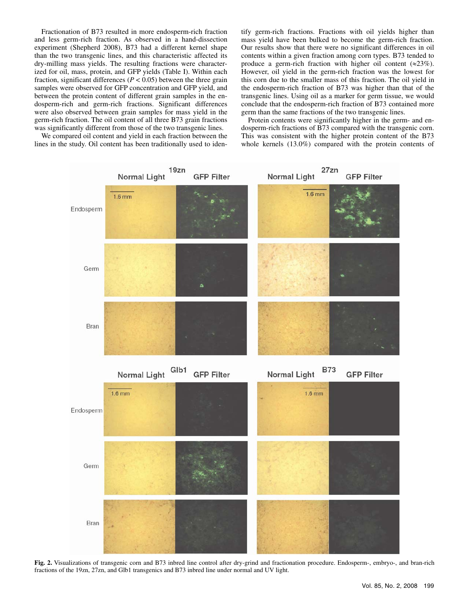Fractionation of B73 resulted in more endosperm-rich fraction and less germ-rich fraction. As observed in a hand-dissection experiment (Shepherd 2008), B73 had a different kernel shape than the two transgenic lines, and this characteristic affected its dry-milling mass yields. The resulting fractions were characterized for oil, mass, protein, and GFP yields (Table I). Within each fraction, significant differences ( $P < 0.05$ ) between the three grain samples were observed for GFP concentration and GFP yield, and between the protein content of different grain samples in the endosperm-rich and germ-rich fractions. Significant differences were also observed between grain samples for mass yield in the germ-rich fraction. The oil content of all three B73 grain fractions was significantly different from those of the two transgenic lines.

We compared oil content and yield in each fraction between the lines in the study. Oil content has been traditionally used to identify germ-rich fractions. Fractions with oil yields higher than mass yield have been bulked to become the germ-rich fraction. Our results show that there were no significant differences in oil contents within a given fraction among corn types. B73 tended to produce a germ-rich fraction with higher oil content ( $\approx 23\%$ ). However, oil yield in the germ-rich fraction was the lowest for this corn due to the smaller mass of this fraction. The oil yield in the endosperm-rich fraction of B73 was higher than that of the transgenic lines. Using oil as a marker for germ tissue, we would conclude that the endosperm-rich fraction of B73 contained more germ than the same fractions of the two transgenic lines.

Protein contents were significantly higher in the germ- and endosperm-rich fractions of B73 compared with the transgenic corn. This was consistent with the higher protein content of the B73 whole kernels (13.0%) compared with the protein contents of



**Fig. 2.** Visualizations of transgenic corn and B73 inbred line control after dry-grind and fractionation procedure. Endosperm-, embryo-, and bran-rich fractions of the 19zn, 27zn, and Glb1 transgenics and B73 inbred line under normal and UV light.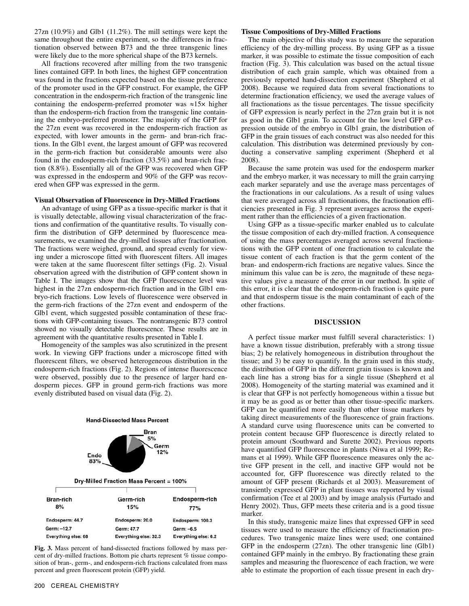27zn (10.9%) and Glb1 (11.2%). The mill settings were kept the same throughout the entire experiment, so the differences in fractionation observed between B73 and the three transgenic lines were likely due to the more spherical shape of the B73 kernels.

All fractions recovered after milling from the two transgenic lines contained GFP. In both lines, the highest GFP concentration was found in the fractions expected based on the tissue preference of the promoter used in the GFP construct. For example, the GFP concentration in the endosperm-rich fraction of the transgenic line containing the endosperm-preferred promoter was ≈15× higher than the endosperm-rich fraction from the transgenic line containing the embryo-preferred promoter. The majority of the GFP for the 27zn event was recovered in the endosperm-rich fraction as expected, with lower amounts in the germ- and bran-rich fractions. In the Glb1 event, the largest amount of GFP was recovered in the germ-rich fraction but considerable amounts were also found in the endosperm-rich fraction (33.5%) and bran-rich fraction (8.8%). Essentially all of the GFP was recovered when GFP was expressed in the endosperm and 90% of the GFP was recovered when GFP was expressed in the germ.

#### **Visual Observation of Fluorescence in Dry-Milled Fractions**

An advantage of using GFP as a tissue-specific marker is that it is visually detectable, allowing visual characterization of the fractions and confirmation of the quantitative results. To visually confirm the distribution of GFP determined by fluorescence measurements, we examined the dry-milled tissues after fractionation. The fractions were weighed, ground, and spread evenly for viewing under a microscope fitted with fluorescent filters. All images were taken at the same fluorescent filter settings (Fig. 2). Visual observation agreed with the distribution of GFP content shown in Table I. The images show that the GFP fluorescence level was highest in the 27zn endosperm-rich fraction and in the Glb1 embryo-rich fractions. Low levels of fluorescence were observed in the germ-rich fractions of the 27zn event and endosperm of the Glb1 event, which suggested possible contamination of these fractions with GFP-containing tissues. The nontransgenic B73 control showed no visually detectable fluorescence. These results are in agreement with the quantitative results presented in Table I.

Homogeneity of the samples was also scrutinized in the present work. In viewing GFP fractions under a microscope fitted with fluorescent filters, we observed heterogeneous distribution in the endosperm-rich fractions (Fig. 2). Regions of intense fluorescence were observed, possibly due to the presence of larger hard endosperm pieces. GFP in ground germ-rich fractions was more evenly distributed based on visual data (Fig. 2).



**Fig. 3.** Mass percent of hand-dissected fractions followed by mass percent of dry-milled fractions. Bottom pie charts represent % tissue composition of bran-, germ-, and endosperm-rich fractions calculated from mass percent and green fluorescent protein (GFP) yield.

#### **Tissue Compositions of Dry-Milled Fractions**

The main objective of this study was to measure the separation efficiency of the dry-milling process. By using GFP as a tissue marker, it was possible to estimate the tissue composition of each fraction (Fig. 3). This calculation was based on the actual tissue distribution of each grain sample, which was obtained from a previously reported hand-dissection experiment (Shepherd et al 2008). Because we required data from several fractionations to determine fractionation efficiency, we used the average values of all fractionations as the tissue percentages. The tissue specificity of GFP expression is nearly perfect in the 27zn grain but it is not as good in the Glb1 grain. To account for the low level GFP expression outside of the embryo in Glb1 grain, the distribution of GFP in the grain tissues of each construct was also needed for this calculation. This distribution was determined previously by conducting a conservative sampling experiment (Shepherd et al 2008).

Because the same protein was used for the endosperm marker and the embryo marker, it was necessary to mill the grain carrying each marker separately and use the average mass percentages of the fractionations in our calculations. As a result of using values that were averaged across all fractionations, the fractionation efficiencies presented in Fig. 3 represent averages across the experiment rather than the efficiencies of a given fractionation.

Using GFP as a tissue-specific marker enabled us to calculate the tissue composition of each dry-milled fraction. A consequence of using the mass percentages averaged across several fractionations with the GFP content of one fractionation to calculate the tissue content of each fraction is that the germ content of the bran- and endosperm-rich fractions are negative values. Since the minimum this value can be is zero, the magnitude of these negative values give a measure of the error in our method. In spite of this error, it is clear that the endosperm-rich fraction is quite pure and that endosperm tissue is the main contaminant of each of the other fractions.

# **DISCUSSION**

A perfect tissue marker must fulfill several characteristics: 1) have a known tissue distribution, preferably with a strong tissue bias; 2) be relatively homogeneous in distribution throughout the tissue; and 3) be easy to quantify. In the grain used in this study, the distribution of GFP in the different grain tissues is known and each line has a strong bias for a single tissue (Shepherd et al 2008). Homogeneity of the starting material was examined and it is clear that GFP is not perfectly homogeneous within a tissue but it may be as good as or better than other tissue-specific markers. GFP can be quantified more easily than other tissue markers by taking direct measurements of the fluorescence of grain fractions. A standard curve using fluorescence units can be converted to protein content because GFP fluorescence is directly related to protein amount (Southward and Surette 2002). Previous reports have quantified GFP fluorescence in plants (Niwa et al 1999; Remans et al 1999). While GFP fluorescence measures only the active GFP present in the cell, and inactive GFP would not be accounted for, GFP fluorescence was directly related to the amount of GFP present (Richards et al 2003). Measurement of transiently expressed GFP in plant tissues was reported by visual confirmation (Tee et al 2003) and by image analysis (Furtado and Henry 2002). Thus, GFP meets these criteria and is a good tissue marker.

In this study, transgenic maize lines that expressed GFP in seed tissues were used to measure the efficiency of fractionation procedures. Two transgenic maize lines were used; one contained GFP in the endosperm (27zn). The other transgenic line (Glb1) contained GFP mainly in the embryo. By fractionating these grain samples and measuring the fluorescence of each fraction, we were able to estimate the proportion of each tissue present in each dry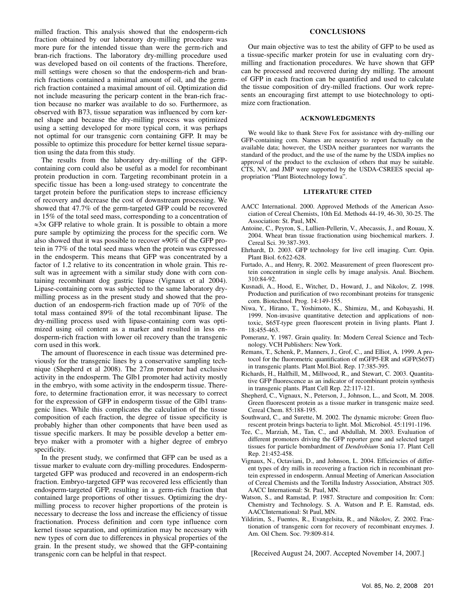milled fraction. This analysis showed that the endosperm-rich fraction obtained by our laboratory dry-milling procedure was more pure for the intended tissue than were the germ-rich and bran-rich fractions. The laboratory dry-milling procedure used was developed based on oil contents of the fractions. Therefore, mill settings were chosen so that the endosperm-rich and branrich fractions contained a minimal amount of oil, and the germrich fraction contained a maximal amount of oil. Optimization did not include measuring the pericarp content in the bran-rich fraction because no marker was available to do so. Furthermore, as observed with B73, tissue separation was influenced by corn kernel shape and because the dry-milling process was optimized using a setting developed for more typical corn, it was perhaps not optimal for our transgenic corn containing GFP. It may be possible to optimize this procedure for better kernel tissue separation using the data from this study.

The results from the laboratory dry-milling of the GFPcontaining corn could also be useful as a model for recombinant protein production in corn. Targeting recombinant protein in a specific tissue has been a long-used strategy to concentrate the target protein before the purification steps to increase efficiency of recovery and decrease the cost of downstream processing. We showed that 47.7% of the germ-targeted GFP could be recovered in 15% of the total seed mass, corresponding to a concentration of ≈3× GFP relative to whole grain. It is possible to obtain a more pure sample by optimizing the process for the specific corn. We also showed that it was possible to recover  $\approx 90\%$  of the GFP protein in 77% of the total seed mass when the protein was expressed in the endosperm. This means that GFP was concentrated by a factor of 1.2 relative to its concentration in whole grain. This result was in agreement with a similar study done with corn containing recombinant dog gastric lipase (Vignaux et al 2004). Lipase-containing corn was subjected to the same laboratory drymilling process as in the present study and showed that the production of an endosperm-rich fraction made up of 70% of the total mass contained 89% of the total recombinant lipase. The dry-milling process used with lipase-containing corn was optimized using oil content as a marker and resulted in less endosperm-rich fraction with lower oil recovery than the transgenic corn used in this work.

The amount of fluorescence in each tissue was determined previously for the transgenic lines by a conservative sampling technique (Shepherd et al 2008). The 27zn promoter had exclusive activity in the endosperm. The Glb1 promoter had activity mostly in the embryo, with some activity in the endosperm tissue. Therefore, to determine fractionation error, it was necessary to correct for the expression of GFP in endosperm tissue of the Glb1 transgenic lines. While this complicates the calculation of the tissue composition of each fraction, the degree of tissue specificity is probably higher than other components that have been used as tissue specific markers. It may be possible develop a better embryo maker with a promoter with a higher degree of embryo specificity.

In the present study, we confirmed that GFP can be used as a tissue marker to evaluate corn dry-milling procedures. Endospermtargeted GFP was produced and recovered in an endosperm-rich fraction. Embryo-targeted GFP was recovered less efficiently than endosperm-targeted GFP, resulting in a germ-rich fraction that contained large proportions of other tissues. Optimizing the drymilling process to recover higher proportions of the protein is necessary to decrease the loss and increase the efficiency of tissue fractionation. Process definition and corn type influence corn kernel tissue separation, and optimization may be necessary with new types of corn due to differences in physical properties of the grain. In the present study, we showed that the GFP-containing transgenic corn can be helpful in that respect.

#### **CONCLUSIONS**

Our main objective was to test the ability of GFP to be used as a tissue-specific marker protein for use in evaluating corn drymilling and fractionation procedures. We have shown that GFP can be processed and recovered during dry milling. The amount of GFP in each fraction can be quantified and used to calculate the tissue composition of dry-milled fractions. Our work represents an encouraging first attempt to use biotechnology to optimize corn fractionation.

#### **ACKNOWLEDGMENTS**

We would like to thank Steve Fox for assistance with dry-milling our GFP-containing corn. Names are necessary to report factually on the available data; however, the USDA neither guarantees nor warrants the standard of the product, and the use of the name by the USDA implies no approval of the product to the exclusion of others that may be suitable. CTS, NV, and JMP were supported by the USDA-CSREES special appropriation "Plant Biotechnology Iowa".

### **LITERATURE CITED**

- AACC International. 2000. Approved Methods of the American Association of Cereal Chemists, 10th Ed. Methods 44-19, 46-30, 30-25. The Association: St. Paul, MN.
- Antoine, C., Peyron, S., Lullien-Pellerin, V., Abecassis, J., and Rouau, X. 2004. Wheat bran tissue fractionation using biochemical markers. J. Cereal Sci. 39:387-393.
- Ehrhardt, D. 2003. GFP technology for live cell imaging. Curr. Opin. Plant Biol. 6:622-628.
- Furtado, A., and Henry, R. 2002. Measurement of green fluorescent protein concentration in single cells by image analysis. Anal. Biochem. 310:84-92.
- Kusnadi, A., Hood, E., Witcher, D., Howard, J., and Nikolov, Z. 1998. Production and purification of two recombinant proteins for transgenic corn. Biotechnol. Prog. 14:149-155.
- Niwa, Y., Hirano, T., Yoshimoto, K., Shimizu, M., and Kobayashi, H. 1999. Non-invasive quantitative detection and applications of nontoxic, S65T-type green fluorescent protein in living plants. Plant J. 18:455-463.
- Pomeranz, Y. 1987. Grain quality. In: Modern Cereal Science and Technology. VCH Publishers: New York.
- Remans, T., Schenk, P., Manners, J., Grof, C., and Elliot, A. 1999. A protocol for the fluorometric quantification of mGFP5-ER and sGFP(S65T) in transgenic plants. Plant Mol.Biol. Rep. 17:385-395.
- Richards, H., Halfhill, M., Millwood, R., and Stewart, C. 2003. Quantitative GFP fluorescence as an indicator of recombinant protein synthesis in transgenic plants. Plant Cell Rep. 22:117-121.
- Shepherd, C., Vignaux, N., Peterson, J., Johnson, L., and Scott, M. 2008. Green fluorescent protein as a tissue marker in transgenic maize seed. Cereal Chem. 85:188-195.
- Southward, C., and Surette, M. 2002. The dynamic microbe: Green fluorescent protein brings bacteria to light. Mol. Microbiol. 45:1191-1196.
- Tee, C., Marziah, M., Tan, C., and Abdullah, M. 2003. Evaluation of different promoters driving the GFP reporter gene and selected target tissues for particle bombardment of *Dendrobium* Sonia 17. Plant Cell Rep. 21:452-458.
- Vignaux, N., Octaviani, D., and Johnson, L. 2004. Efficiencies of different types of dry mills in recovering a fraction rich in recombinant protein expressed in endosperm. Annual Meeting of American Association of Cereal Chemists and the Tortilla Industry Association, Abstract 305. AACC International: St. Paul, MN.
- Watson, S., and Ramstad, P. 1987. Structure and composition In: Corn: Chemistry and Technology. S. A. Watson and P. E. Ramstad, eds. AACCInternational: St Paul, MN.
- Yildirim, S., Fuentes, R., Evangelsita, R., and Nikolov, Z. 2002. Fractionation of transgenic corn for recovery of recombinant enzymes. J. Am. Oil Chem. Soc. 79:809-814.

[Received August 24, 2007. Accepted November 14, 2007.]